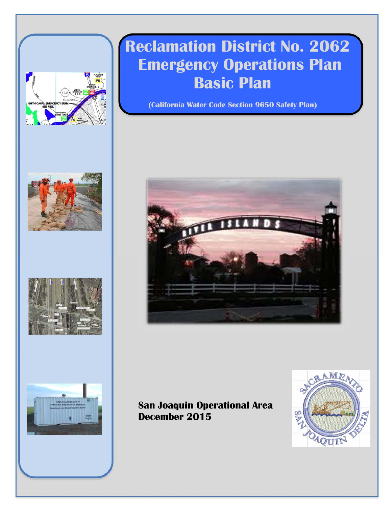







 $\equiv$   $\equiv$ 

# **Reclamation District No. 2062 Emergency Operations Plan Basic Plan**

**(California Water Code Section 9650 Safety Plan)** 



# **San Joaquin Operational Area December 2015**

Reclamation District No. 2062 December 2015 

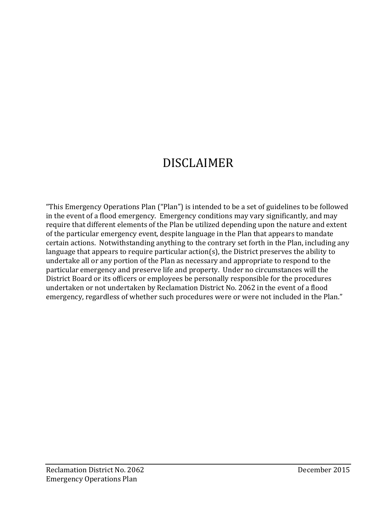# DISCLAIMER

"This Emergency Operations Plan ("Plan") is intended to be a set of guidelines to be followed in the event of a flood emergency. Emergency conditions may vary significantly, and may require that different elements of the Plan be utilized depending upon the nature and extent of the particular emergency event, despite language in the Plan that appears to mandate certain actions. Notwithstanding anything to the contrary set forth in the Plan, including any language that appears to require particular  $\arctan(s)$ , the District preserves the ability to undertake all or any portion of the Plan as necessary and appropriate to respond to the particular emergency and preserve life and property. Under no circumstances will the District Board or its officers or employees be personally responsible for the procedures undertaken or not undertaken by Reclamation District No. 2062 in the event of a flood emergency, regardless of whether such procedures were or were not included in the Plan."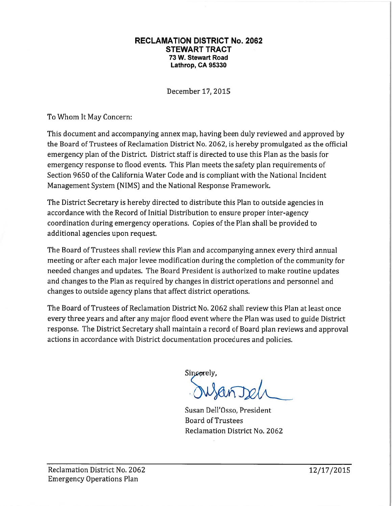#### **RECLAMATION DISTRICT No. 2062 STEWART TRACT** 73 W. Stewart Road Lathrop, CA 95330

December 17, 2015

To Whom It May Concern:

This document and accompanying annex map, having been duly reviewed and approved by the Board of Trustees of Reclamation District No. 2062, is hereby promulgated as the official emergency plan of the District. District staff is directed to use this Plan as the basis for emergency response to flood events. This Plan meets the safety plan requirements of Section 9650 of the California Water Code and is compliant with the National Incident Management System (NIMS) and the National Response Framework.

The District Secretary is hereby directed to distribute this Plan to outside agencies in accordance with the Record of Initial Distribution to ensure proper inter-agency coordination during emergency operations. Copies of the Plan shall be provided to additional agencies upon request.

The Board of Trustees shall review this Plan and accompanying annex every third annual meeting or after each major levee modification during the completion of the community for needed changes and updates. The Board President is authorized to make routine updates and changes to the Plan as required by changes in district operations and personnel and changes to outside agency plans that affect district operations.

The Board of Trustees of Reclamation District No. 2062 shall review this Plan at least once every three years and after any major flood event where the Plan was used to guide District response. The District Secretary shall maintain a record of Board plan reviews and approval actions in accordance with District documentation procedures and policies.

Sincerely,

Susan Dell'Osso, President **Board of Trustees** Reclamation District No. 2062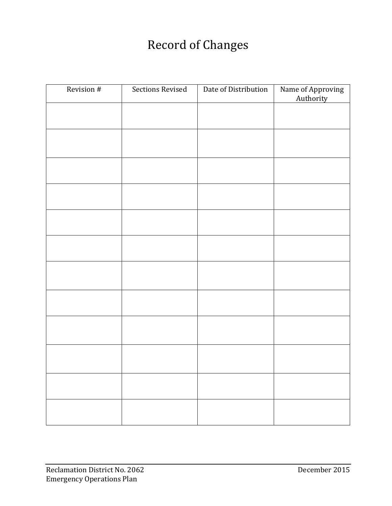# Record of Changes

| Revision # | Sections Revised | Date of Distribution | Name of Approving<br>Authority |
|------------|------------------|----------------------|--------------------------------|
|            |                  |                      |                                |
|            |                  |                      |                                |
|            |                  |                      |                                |
|            |                  |                      |                                |
|            |                  |                      |                                |
|            |                  |                      |                                |
|            |                  |                      |                                |
|            |                  |                      |                                |
|            |                  |                      |                                |
|            |                  |                      |                                |
|            |                  |                      |                                |
|            |                  |                      |                                |
|            |                  |                      |                                |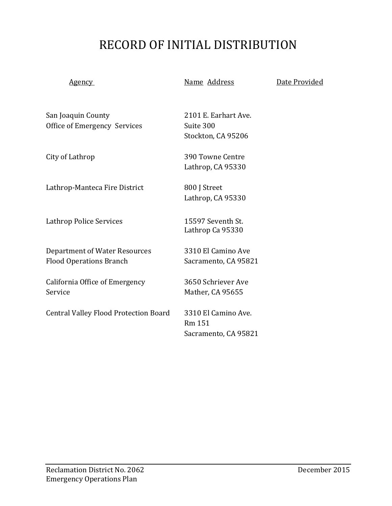# RECORD OF INITIAL DISTRIBUTION

Agency **Mame** Address **Date Provided** 

San Joaquin County **2101** E. Earhart Ave. Office of Emergency Services Suite 300

Lathrop-Manteca Fire District 800 J Street

Lathrop Police Services 15597 Seventh St.

Department of Water Resources 3310 El Camino Ave Flood Operations Branch Sacramento, CA 95821

California Office of Emergency 3650 Schriever Ave Service Mather, CA 95655

Central Valley Flood Protection Board 3310 El Camino Ave.

Stockton, CA 95206

City of Lathrop **890** Towne Centre Lathrop, CA 95330

Lathrop, CA 95330

Lathrop Ca 95330

 Rm 151 Sacramento, CA 95821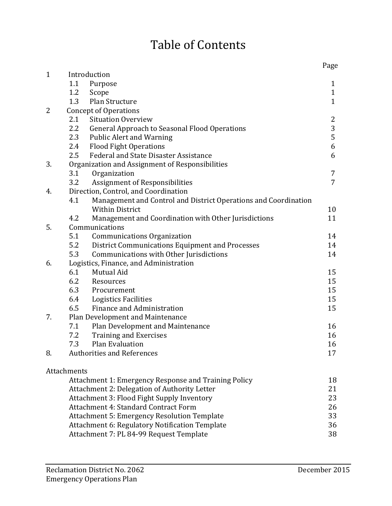# Table of Contents

|              |                                                                        | Page           |
|--------------|------------------------------------------------------------------------|----------------|
| $\mathbf{1}$ | Introduction                                                           |                |
|              | 1.1<br>Purpose                                                         | 1              |
|              | 1.2<br>Scope                                                           | $\mathbf{1}$   |
|              | Plan Structure<br>1.3                                                  | $\mathbf{1}$   |
| 2            | <b>Concept of Operations</b>                                           |                |
|              | 2.1<br><b>Situation Overview</b>                                       | $\overline{2}$ |
|              | 2.2<br><b>General Approach to Seasonal Flood Operations</b>            | $\frac{3}{5}$  |
|              | 2.3<br><b>Public Alert and Warning</b>                                 |                |
|              | 2.4<br><b>Flood Fight Operations</b>                                   | 6              |
|              | Federal and State Disaster Assistance<br>2.5                           | 6              |
| 3.           | Organization and Assignment of Responsibilities                        |                |
|              | Organization<br>3.1                                                    | 7              |
|              | Assignment of Responsibilities<br>3.2                                  | $\overline{7}$ |
| 4.           | Direction, Control, and Coordination                                   |                |
|              | 4.1<br>Management and Control and District Operations and Coordination |                |
|              | <b>Within District</b>                                                 | 10             |
|              | 4.2<br>Management and Coordination with Other Jurisdictions            | 11             |
| 5.           | Communications                                                         |                |
|              | 5.1<br><b>Communications Organization</b>                              | 14             |
|              | 5.2<br>District Communications Equipment and Processes                 | 14             |
|              | 5.3<br>Communications with Other Jurisdictions                         | 14             |
| 6.           | Logistics, Finance, and Administration                                 |                |
|              | 6.1<br>Mutual Aid                                                      | 15             |
|              | 6.2<br>Resources                                                       | 15             |
|              | 6.3<br>Procurement                                                     | 15             |
|              | 6.4<br><b>Logistics Facilities</b>                                     | 15             |
|              | 6.5<br>Finance and Administration                                      | 15             |
| 7.           | Plan Development and Maintenance                                       |                |
|              | 7.1<br>Plan Development and Maintenance                                | 16<br>16       |
|              | 7.2<br><b>Training and Exercises</b><br>7.3<br>Plan Evaluation         |                |
| 8.           | <b>Authorities and References</b>                                      | 16<br>17       |
|              |                                                                        |                |
|              | Attachments                                                            |                |
|              | Attachment 1: Emergency Response and Training Policy                   | 18             |
|              | Attachment 2: Delegation of Authority Letter                           | 21             |
|              | Attachment 3: Flood Fight Supply Inventory                             | 23             |
|              | <b>Attachment 4: Standard Contract Form</b>                            | 26             |
|              | <b>Attachment 5: Emergency Resolution Template</b>                     | 33             |
|              | Attachment 6: Regulatory Notification Template                         | 36             |
|              | Attachment 7: PL 84-99 Request Template                                | 38             |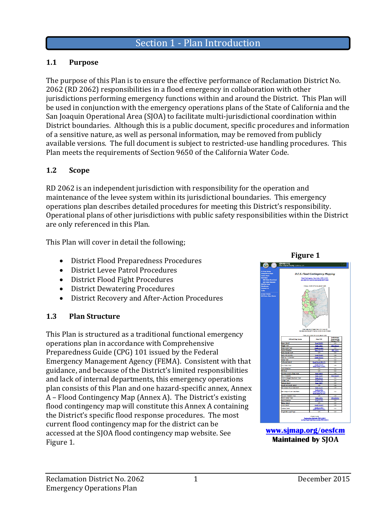#### **1.1 Purpose**

The purpose of this Plan is to ensure the effective performance of Reclamation District No. 2062 (RD 2062) responsibilities in a flood emergency in collaboration with other jurisdictions performing emergency functions within and around the District. This Plan will be used in conjunction with the emergency operations plans of the State of California and the San Joaquin Operational Area (SJOA) to facilitate multi-jurisdictional coordination within District boundaries. Although this is a public document, specific procedures and information of a sensitive nature, as well as personal information, may be removed from publicly available versions. The full document is subject to restricted-use handling procedures. This Plan meets the requirements of Section 9650 of the California Water Code.

#### **1.2 Scope**

RD 2062 is an independent jurisdiction with responsibility for the operation and maintenance of the levee system within its jurisdictional boundaries. This emergency operations plan describes detailed procedures for meeting this District's responsibility. Operational plans of other jurisdictions with public safety responsibilities within the District are only referenced in this Plan.

This Plan will cover in detail the following;

- District Flood Preparedness Procedures
- District Levee Patrol Procedures
- District Flood Fight Procedures
- District Dewatering Procedures
- District Recovery and After-Action Procedures

#### **1.3 Plan Structure**

This Plan is structured as a traditional functional emergency operations plan in accordance with Comprehensive Preparedness Guide (CPG) 101 issued by the Federal Emergency Management Agency (FEMA). Consistent with that guidance, and because of the District's limited responsibilities and lack of internal departments, this emergency operations plan consists of this Plan and one hazard-specific annex, Annex A – Flood Contingency Map (Annex A). The District's existing flood contingency map will constitute this Annex A containing the District's specific flood response procedures. The most current flood contingency map for the district can be accessed at the SJOA flood contingency map website. See Figure 1.



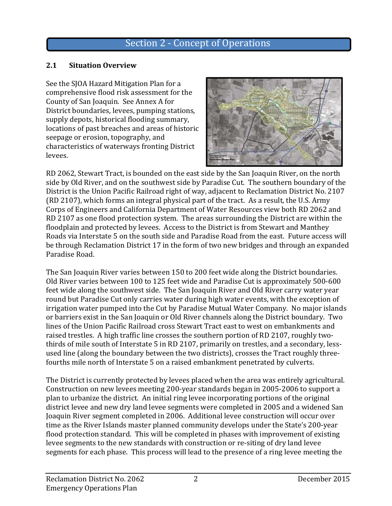### Section 2 - Concept of Operations

#### **2.1 Situation Overview**

See the SJOA Hazard Mitigation Plan for a comprehensive flood risk assessment for the County of San Joaquin. See Annex A for District boundaries, levees, pumping stations, supply depots, historical flooding summary, locations of past breaches and areas of historic seepage or erosion, topography, and characteristics of waterways fronting District levees. 



RD 2062, Stewart Tract, is bounded on the east side by the San Joaquin River, on the north side by Old River, and on the southwest side by Paradise Cut. The southern boundary of the District is the Union Pacific Railroad right of way, adjacent to Reclamation District No. 2107 (RD 2107), which forms an integral physical part of the tract. As a result, the U.S. Army Corps of Engineers and California Department of Water Resources view both RD 2062 and RD 2107 as one flood protection system. The areas surrounding the District are within the floodplain and protected by levees. Access to the District is from Stewart and Manthey Roads via Interstate 5 on the south side and Paradise Road from the east. Future access will be through Reclamation District 17 in the form of two new bridges and through an expanded Paradise Road.

The San Joaquin River varies between 150 to 200 feet wide along the District boundaries. Old River varies between 100 to 125 feet wide and Paradise Cut is approximately 500-600 feet wide along the southwest side. The San Joaquin River and Old River carry water year round but Paradise Cut only carries water during high water events, with the exception of irrigation water pumped into the Cut by Paradise Mutual Water Company. No major islands or barriers exist in the San Joaquin or Old River channels along the District boundary. Two lines of the Union Pacific Railroad cross Stewart Tract east to west on embankments and raised trestles. A high traffic line crosses the southern portion of RD 2107, roughly twothirds of mile south of Interstate 5 in RD 2107, primarily on trestles, and a secondary, lessused line (along the boundary between the two districts), crosses the Tract roughly threefourths mile north of Interstate 5 on a raised embankment penetrated by culverts.

The District is currently protected by levees placed when the area was entirely agricultural. Construction on new levees meeting 200-year standards began in 2005-2006 to support a plan to urbanize the district. An initial ring levee incorporating portions of the original district levee and new dry land levee segments were completed in 2005 and a widened San Joaquin River segment completed in 2006. Additional levee construction will occur over time as the River Islands master planned community develops under the State's 200-year flood protection standard. This will be completed in phases with improvement of existing levee segments to the new standards with construction or re-siting of dry land levee segments for each phase. This process will lead to the presence of a ring levee meeting the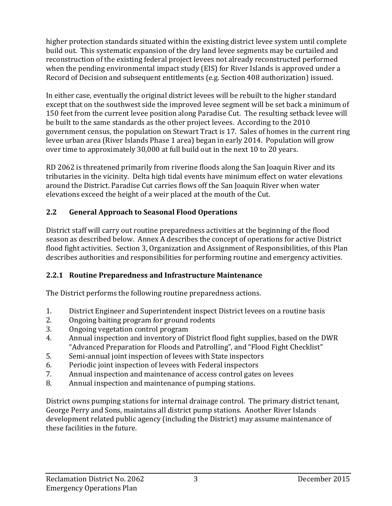higher protection standards situated within the existing district levee system until complete build out. This systematic expansion of the dry land levee segments may be curtailed and reconstruction of the existing federal project levees not already reconstructed performed when the pending environmental impact study (EIS) for River Islands is approved under a Record of Decision and subsequent entitlements (e.g. Section 408 authorization) issued.

In either case, eventually the original district levees will be rebuilt to the higher standard except that on the southwest side the improved levee segment will be set back a minimum of 150 feet from the current levee position along Paradise Cut. The resulting setback levee will be built to the same standards as the other project levees. According to the 2010 government census, the population on Stewart Tract is 17. Sales of homes in the current ring levee urban area (River Islands Phase 1 area) began in early 2014. Population will grow over time to approximately 30,000 at full build out in the next 10 to 20 years.

RD 2062 is threatened primarily from riverine floods along the San Joaquin River and its tributaries in the vicinity. Delta high tidal events have minimum effect on water elevations around the District. Paradise Cut carries flows off the San Joaquin River when water elevations exceed the height of a weir placed at the mouth of the Cut.

#### **2.2 General Approach to Seasonal Flood Operations**

District staff will carry out routine preparedness activities at the beginning of the flood season as described below. Annex A describes the concept of operations for active District flood fight activities. Section 3, Organization and Assignment of Responsibilities, of this Plan describes authorities and responsibilities for performing routine and emergency activities.

#### **2.2.1 Routine Preparedness and Infrastructure Maintenance**

The District performs the following routine preparedness actions.

- 1. District Engineer and Superintendent inspect District levees on a routine basis
- 2. Ongoing baiting program for ground rodents
- 3. Ongoing vegetation control program
- 4. Annual inspection and inventory of District flood fight supplies, based on the DWR "Advanced Preparation for Floods and Patrolling", and "Flood Fight Checklist"
- 5. Semi-annual joint inspection of levees with State inspectors
- 6. Periodic joint inspection of levees with Federal inspectors
- 7. Annual inspection and maintenance of access control gates on levees
- 8. Annual inspection and maintenance of pumping stations.

District owns pumping stations for internal drainage control. The primary district tenant, George Perry and Sons, maintains all district pump stations. Another River Islands development related public agency (including the District) may assume maintenance of these facilities in the future.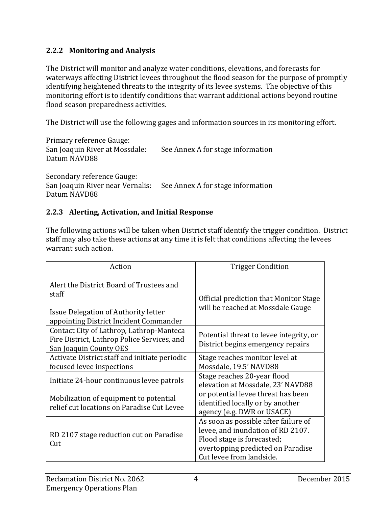#### **2.2.2 Monitoring and Analysis**

The District will monitor and analyze water conditions, elevations, and forecasts for waterways affecting District levees throughout the flood season for the purpose of promptly identifying heightened threats to the integrity of its levee systems. The objective of this monitoring effort is to identify conditions that warrant additional actions beyond routine flood season preparedness activities.

The District will use the following gages and information sources in its monitoring effort.

| Primary reference Gauge:<br>San Joaquin River at Mossdale:<br>Datum NAVD88     | See Annex A for stage information |
|--------------------------------------------------------------------------------|-----------------------------------|
| Secondary reference Gauge:<br>San Joaquin River near Vernalis:<br>Datum NAVD88 | See Annex A for stage information |

#### **2.2.3 Alerting, Activation, and Initial Response**

The following actions will be taken when District staff identify the trigger condition. District staff may also take these actions at any time it is felt that conditions affecting the levees warrant such action.

| Action                                        | <b>Trigger Condition</b>                |
|-----------------------------------------------|-----------------------------------------|
|                                               |                                         |
| Alert the District Board of Trustees and      |                                         |
| staff                                         | Official prediction that Monitor Stage  |
| Issue Delegation of Authority letter          | will be reached at Mossdale Gauge       |
| appointing District Incident Commander        |                                         |
| Contact City of Lathrop, Lathrop-Manteca      | Potential threat to levee integrity, or |
| Fire District, Lathrop Police Services, and   | District begins emergency repairs       |
| San Joaquin County OES                        |                                         |
| Activate District staff and initiate periodic | Stage reaches monitor level at          |
| focused levee inspections                     | Mossdale, 19.5' NAVD88                  |
| Initiate 24-hour continuous levee patrols     | Stage reaches 20-year flood             |
|                                               | elevation at Mossdale, 23' NAVD88       |
| Mobilization of equipment to potential        | or potential levee threat has been      |
| relief cut locations on Paradise Cut Levee    | identified locally or by another        |
|                                               | agency (e.g. DWR or USACE)              |
|                                               | As soon as possible after failure of    |
|                                               | levee, and inundation of RD 2107.       |
| RD 2107 stage reduction cut on Paradise       | Flood stage is forecasted;              |
| Cut                                           | overtopping predicted on Paradise       |
|                                               | Cut levee from landside.                |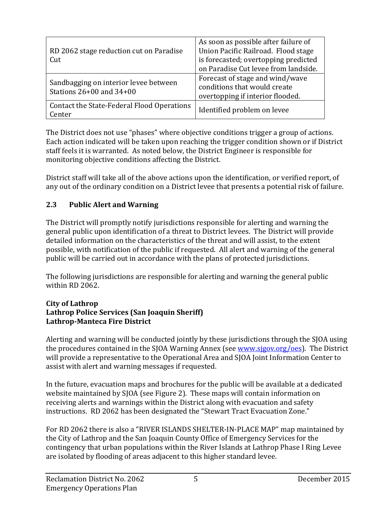| RD 2062 stage reduction cut on Paradise<br>Cut                    | As soon as possible after failure of<br>Union Pacific Railroad. Flood stage<br>is forecasted; overtopping predicted<br>on Paradise Cut levee from landside. |
|-------------------------------------------------------------------|-------------------------------------------------------------------------------------------------------------------------------------------------------------|
| Sandbagging on interior levee between<br>Stations 26+00 and 34+00 | Forecast of stage and wind/wave<br>conditions that would create<br>overtopping if interior flooded.                                                         |
| Contact the State-Federal Flood Operations<br>Center              | Identified problem on levee                                                                                                                                 |

The District does not use "phases" where objective conditions trigger a group of actions. Each action indicated will be taken upon reaching the trigger condition shown or if District staff feels it is warranted. As noted below, the District Engineer is responsible for monitoring objective conditions affecting the District.

District staff will take all of the above actions upon the identification, or verified report, of any out of the ordinary condition on a District levee that presents a potential risk of failure.

#### **2.3 Public Alert and Warning**

The District will promptly notify jurisdictions responsible for alerting and warning the general public upon identification of a threat to District levees. The District will provide detailed information on the characteristics of the threat and will assist, to the extent possible, with notification of the public if requested. All alert and warning of the general public will be carried out in accordance with the plans of protected jurisdictions.

The following jurisdictions are responsible for alerting and warning the general public within RD 2062.

#### **City of Lathrop Lathrop Police Services (San Joaquin Sheriff) Lathrop‐Manteca Fire District**

Alerting and warning will be conducted jointly by these jurisdictions through the SJOA using the procedures contained in the SJOA Warning Annex (see www.sjgov.org/oes). The District will provide a representative to the Operational Area and SJOA Joint Information Center to assist with alert and warning messages if requested.

In the future, evacuation maps and brochures for the public will be available at a dedicated website maintained by SJOA (see Figure 2). These maps will contain information on receiving alerts and warnings within the District along with evacuation and safety instructions. RD 2062 has been designated the "Stewart Tract Evacuation Zone."

For RD 2062 there is also a "RIVER ISLANDS SHELTER-IN-PLACE MAP" map maintained by the City of Lathrop and the San Joaquin County Office of Emergency Services for the contingency that urban populations within the River Islands at Lathrop Phase I Ring Levee are isolated by flooding of areas adjacent to this higher standard levee.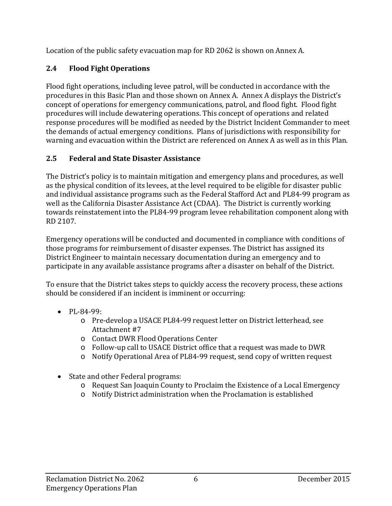Location of the public safety evacuation map for RD 2062 is shown on Annex A.

#### **2.4 Flood Fight Operations**

Flood fight operations, including levee patrol, will be conducted in accordance with the procedures in this Basic Plan and those shown on Annex A. Annex A displays the District's concept of operations for emergency communications, patrol, and flood fight. Flood fight procedures will include dewatering operations. This concept of operations and related response procedures will be modified as needed by the District Incident Commander to meet the demands of actual emergency conditions. Plans of jurisdictions with responsibility for warning and evacuation within the District are referenced on Annex A as well as in this Plan.

#### **2.5 Federal and State Disaster Assistance**

The District's policy is to maintain mitigation and emergency plans and procedures, as well as the physical condition of its levees, at the level required to be eligible for disaster public and individual assistance programs such as the Federal Stafford Act and PL84-99 program as well as the California Disaster Assistance Act (CDAA). The District is currently working towards reinstatement into the PL84-99 program levee rehabilitation component along with RD 2107. 

Emergency operations will be conducted and documented in compliance with conditions of those programs for reimbursement of disaster expenses. The District has assigned its District Engineer to maintain necessary documentation during an emergency and to participate in any available assistance programs after a disaster on behalf of the District.

To ensure that the District takes steps to quickly access the recovery process, these actions should be considered if an incident is imminent or occurring:

- PL‐84‐99:
	- Pre-develop a USACE PL84-99 request letter on District letterhead, see Attachment #7
	- o Contact DWR Flood Operations Center
	- o Follow-up call to USACE District office that a request was made to DWR
	- o Notify Operational Area of PL84-99 request, send copy of written request
- State and other Federal programs:
	- o Request San Joaquin County to Proclaim the Existence of a Local Emergency
	- $\circ$  Notify District administration when the Proclamation is established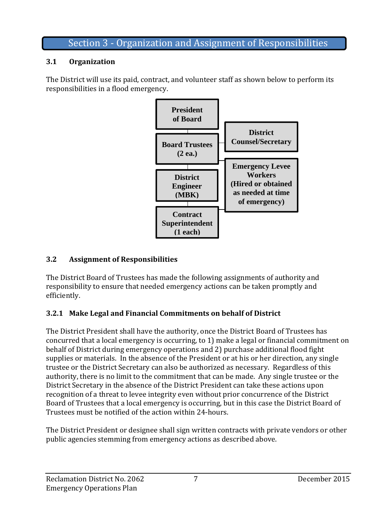### Section 3 - Organization and Assignment of Responsibilities

#### **3.1 Organization**

The District will use its paid, contract, and volunteer staff as shown below to perform its responsibilities in a flood emergency.



#### **3.2 Assignment of Responsibilities**

The District Board of Trustees has made the following assignments of authority and responsibility to ensure that needed emergency actions can be taken promptly and efficiently. 

### **3.2.1 Make Legal and Financial Commitments on behalf of District**

The District President shall have the authority, once the District Board of Trustees has concurred that a local emergency is occurring, to 1) make a legal or financial commitment on behalf of District during emergency operations and 2) purchase additional flood fight supplies or materials. In the absence of the President or at his or her direction, any single trustee or the District Secretary can also be authorized as necessary. Regardless of this authority, there is no limit to the commitment that can be made. Any single trustee or the District Secretary in the absence of the District President can take these actions upon recognition of a threat to levee integrity even without prior concurrence of the District Board of Trustees that a local emergency is occurring, but in this case the District Board of Trustees must be notified of the action within 24-hours.

The District President or designee shall sign written contracts with private vendors or other public agencies stemming from emergency actions as described above.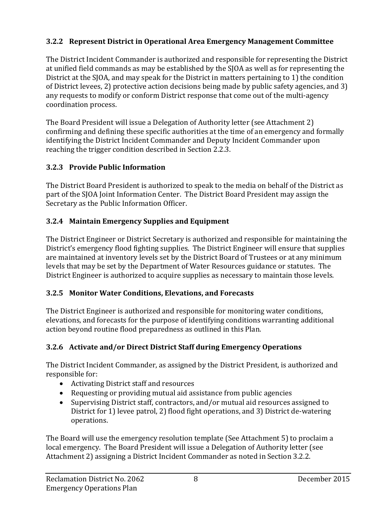#### **3.2.2 Represent District in Operational Area Emergency Management Committee**

The District Incident Commander is authorized and responsible for representing the District at unified field commands as may be established by the SJOA as well as for representing the District at the SJOA, and may speak for the District in matters pertaining to 1) the condition of District levees, 2) protective action decisions being made by public safety agencies, and 3) any requests to modify or conform District response that come out of the multi-agency coordination process.

The Board President will issue a Delegation of Authority letter (see Attachment 2) confirming and defining these specific authorities at the time of an emergency and formally identifying the District Incident Commander and Deputy Incident Commander upon reaching the trigger condition described in Section 2.2.3.

#### **3.2.3 Provide Public Information**

The District Board President is authorized to speak to the media on behalf of the District as part of the SJOA Joint Information Center. The District Board President may assign the Secretary as the Public Information Officer.

#### **3.2.4 Maintain Emergency Supplies and Equipment**

The District Engineer or District Secretary is authorized and responsible for maintaining the District's emergency flood fighting supplies. The District Engineer will ensure that supplies are maintained at inventory levels set by the District Board of Trustees or at any minimum levels that may be set by the Department of Water Resources guidance or statutes. The District Engineer is authorized to acquire supplies as necessary to maintain those levels.

#### **3.2.5 Monitor Water Conditions, Elevations, and Forecasts**

The District Engineer is authorized and responsible for monitoring water conditions, elevations, and forecasts for the purpose of identifying conditions warranting additional action beyond routine flood preparedness as outlined in this Plan.

#### **3.2.6 Activate and/or Direct District Staff during Emergency Operations**

The District Incident Commander, as assigned by the District President, is authorized and responsible for:

- Activating District staff and resources
- Requesting or providing mutual aid assistance from public agencies
- Supervising District staff, contractors, and/or mutual aid resources assigned to District for 1) levee patrol, 2) flood fight operations, and 3) District de-watering operations.

The Board will use the emergency resolution template (See Attachment 5) to proclaim a local emergency. The Board President will issue a Delegation of Authority letter (see Attachment 2) assigning a District Incident Commander as noted in Section 3.2.2.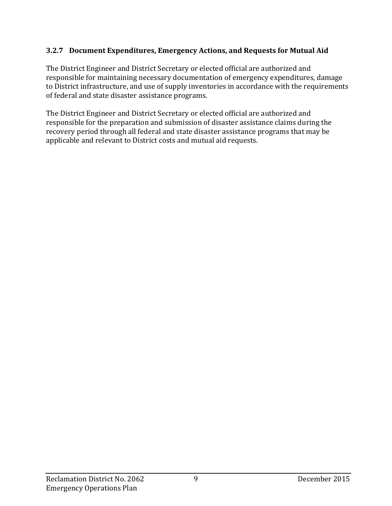#### **3.2.7 Document Expenditures, Emergency Actions, and Requests for Mutual Aid**

The District Engineer and District Secretary or elected official are authorized and responsible for maintaining necessary documentation of emergency expenditures, damage to District infrastructure, and use of supply inventories in accordance with the requirements of federal and state disaster assistance programs.

The District Engineer and District Secretary or elected official are authorized and responsible for the preparation and submission of disaster assistance claims during the recovery period through all federal and state disaster assistance programs that may be applicable and relevant to District costs and mutual aid requests.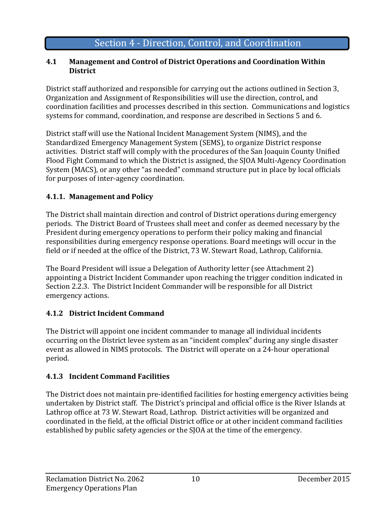# Section 4 - Direction, Control, and Coordination

#### **4.1 Management and Control of District Operations and Coordination Within District**

District staff authorized and responsible for carrying out the actions outlined in Section 3, Organization and Assignment of Responsibilities will use the direction, control, and coordination facilities and processes described in this section. Communications and logistics systems for command, coordination, and response are described in Sections 5 and 6.

District staff will use the National Incident Management System (NIMS), and the Standardized Emergency Management System (SEMS), to organize District response activities. District staff will comply with the procedures of the San Joaquin County Unified Flood Fight Command to which the District is assigned, the SJOA Multi-Agency Coordination System (MACS), or any other "as needed" command structure put in place by local officials for purposes of inter-agency coordination.

#### **4.1.1. Management and Policy**

The District shall maintain direction and control of District operations during emergency periods. The District Board of Trustees shall meet and confer as deemed necessary by the President during emergency operations to perform their policy making and financial responsibilities during emergency response operations. Board meetings will occur in the field or if needed at the office of the District, 73 W. Stewart Road, Lathrop, California.

The Board President will issue a Delegation of Authority letter (see Attachment 2) appointing a District Incident Commander upon reaching the trigger condition indicated in Section 2.2.3. The District Incident Commander will be responsible for all District emergency actions. 

#### **4.1.2 District Incident Command**

The District will appoint one incident commander to manage all individual incidents occurring on the District levee system as an "incident complex" during any single disaster event as allowed in NIMS protocols. The District will operate on a 24-hour operational period. 

#### **4.1.3 Incident Command Facilities**

The District does not maintain pre-identified facilities for hosting emergency activities being undertaken by District staff. The District's principal and official office is the River Islands at Lathrop office at 73 W. Stewart Road, Lathrop. District activities will be organized and coordinated in the field, at the official District office or at other incident command facilities established by public safety agencies or the SJOA at the time of the emergency.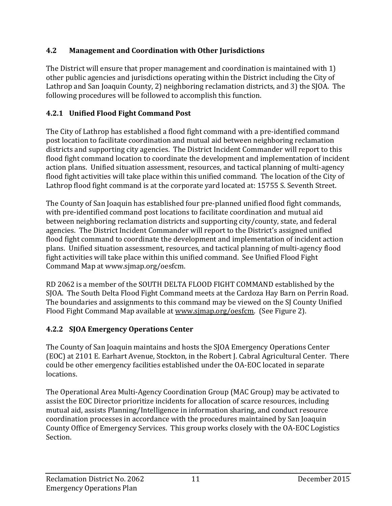#### **4.2 Management and Coordination with Other Jurisdictions**

The District will ensure that proper management and coordination is maintained with  $1$ ) other public agencies and jurisdictions operating within the District including the City of Lathrop and San Joaquin County, 2) neighboring reclamation districts, and 3) the SJOA. The following procedures will be followed to accomplish this function.

### **4.2.1 Unified Flood Fight Command Post**

The City of Lathrop has established a flood fight command with a pre-identified command post location to facilitate coordination and mutual aid between neighboring reclamation districts and supporting city agencies. The District Incident Commander will report to this flood fight command location to coordinate the development and implementation of incident action plans. Unified situation assessment, resources, and tactical planning of multi-agency flood fight activities will take place within this unified command. The location of the City of Lathrop flood fight command is at the corporate yard located at: 15755 S. Seventh Street.

The County of San Joaquin has established four pre-planned unified flood fight commands, with pre-identified command post locations to facilitate coordination and mutual aid between neighboring reclamation districts and supporting city/county, state, and federal agencies. The District Incident Commander will report to the District's assigned unified flood fight command to coordinate the development and implementation of incident action plans. Unified situation assessment, resources, and tactical planning of multi-agency flood fight activities will take place within this unified command. See Unified Flood Fight Command Map at www.sjmap.org/oesfcm.

RD 2062 is a member of the SOUTH DELTA FLOOD FIGHT COMMAND established by the SJOA. The South Delta Flood Fight Command meets at the Cardoza Hay Barn on Perrin Road. The boundaries and assignments to this command may be viewed on the SJ County Unified Flood Fight Command Map available at www.sjmap.org/oesfcm. (See Figure 2).

### **4.2.2 SJOA Emergency Operations Center**

The County of San Joaquin maintains and hosts the SJOA Emergency Operations Center (EOC) at 2101 E. Earhart Avenue, Stockton, in the Robert J. Cabral Agricultural Center. There could be other emergency facilities established under the OA-EOC located in separate locations. 

The Operational Area Multi-Agency Coordination Group (MAC Group) may be activated to assist the EOC Director prioritize incidents for allocation of scarce resources, including mutual aid, assists Planning/Intelligence in information sharing, and conduct resource coordination processes in accordance with the procedures maintained by San Joaquin County Office of Emergency Services. This group works closely with the OA-EOC Logistics Section.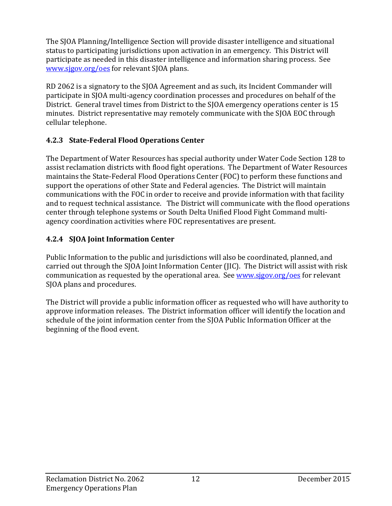The SJOA Planning/Intelligence Section will provide disaster intelligence and situational status to participating jurisdictions upon activation in an emergency. This District will participate as needed in this disaster intelligence and information sharing process. See www.sjgov.org/oes for relevant SJOA plans.

RD 2062 is a signatory to the SJOA Agreement and as such, its Incident Commander will participate in SJOA multi-agency coordination processes and procedures on behalf of the District. General travel times from District to the SJOA emergency operations center is 15 minutes. District representative may remotely communicate with the SJOA EOC through cellular telephone.

#### **4.2.3 State‐Federal Flood Operations Center**

The Department of Water Resources has special authority under Water Code Section 128 to assist reclamation districts with flood fight operations. The Department of Water Resources maintains the State-Federal Flood Operations Center (FOC) to perform these functions and support the operations of other State and Federal agencies. The District will maintain communications with the FOC in order to receive and provide information with that facility and to request technical assistance. The District will communicate with the flood operations center through telephone systems or South Delta Unified Flood Fight Command multiagency coordination activities where FOC representatives are present.

#### **4.2.4 SJOA Joint Information Center**

Public Information to the public and jurisdictions will also be coordinated, planned, and carried out through the SJOA Joint Information Center (JIC). The District will assist with risk communication as requested by the operational area. See www.sjgov.org/oes for relevant SJOA plans and procedures.

The District will provide a public information officer as requested who will have authority to approve information releases. The District information officer will identify the location and schedule of the joint information center from the SJOA Public Information Officer at the beginning of the flood event.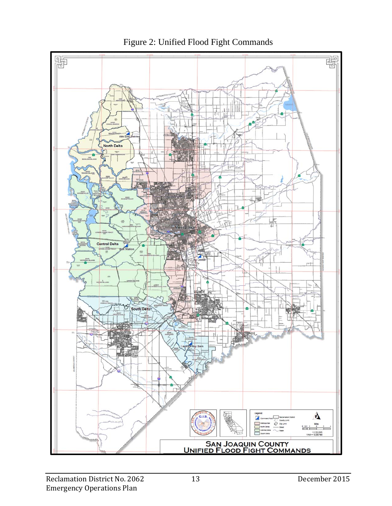

Figure 2: Unified Flood Fight Commands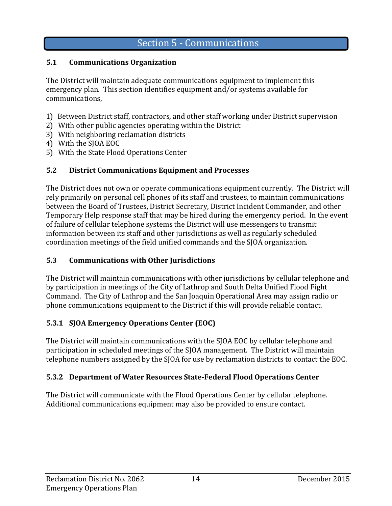# Section 5 - Communications

#### **5.1 Communications Organization**

The District will maintain adequate communications equipment to implement this emergency plan. This section identifies equipment and/or systems available for communications, 

- 1) Between District staff, contractors, and other staff working under District supervision
- 2) With other public agencies operating within the District
- 3) With neighboring reclamation districts
- 4) With the SJOA EOC
- 5) With the State Flood Operations Center

#### **5.2 District Communications Equipment and Processes**

The District does not own or operate communications equipment currently. The District will rely primarily on personal cell phones of its staff and trustees, to maintain communications between the Board of Trustees, District Secretary, District Incident Commander, and other Temporary Help response staff that may be hired during the emergency period. In the event of failure of cellular telephone systems the District will use messengers to transmit information between its staff and other jurisdictions as well as regularly scheduled coordination meetings of the field unified commands and the SJOA organization.

#### **5.3 Communications with Other Jurisdictions**

The District will maintain communications with other jurisdictions by cellular telephone and by participation in meetings of the City of Lathrop and South Delta Unified Flood Fight Command. The City of Lathrop and the San Joaquin Operational Area may assign radio or phone communications equipment to the District if this will provide reliable contact.

#### **5.3.1 SJOA Emergency Operations Center (EOC)**

The District will maintain communications with the SJOA EOC by cellular telephone and participation in scheduled meetings of the SJOA management. The District will maintain telephone numbers assigned by the SJOA for use by reclamation districts to contact the EOC.

#### **5.3.2 Department of Water Resources State‐Federal Flood Operations Center**

The District will communicate with the Flood Operations Center by cellular telephone. Additional communications equipment may also be provided to ensure contact.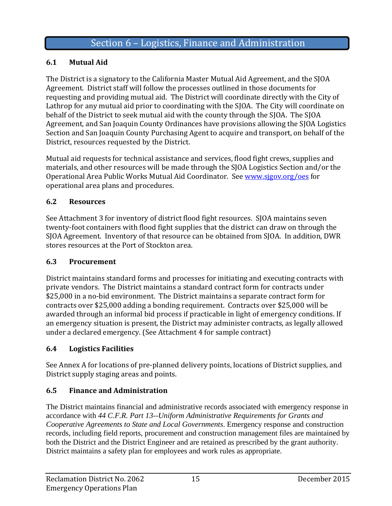#### **6.1 Mutual Aid**

The District is a signatory to the California Master Mutual Aid Agreement, and the SJOA Agreement. District staff will follow the processes outlined in those documents for requesting and providing mutual aid. The District will coordinate directly with the City of Lathrop for any mutual aid prior to coordinating with the SJOA. The City will coordinate on behalf of the District to seek mutual aid with the county through the SJOA. The SJOA Agreement, and San Joaquin County Ordinances have provisions allowing the SJOA Logistics Section and San Joaquin County Purchasing Agent to acquire and transport, on behalf of the District, resources requested by the District.

Mutual aid requests for technical assistance and services, flood fight crews, supplies and materials, and other resources will be made through the SJOA Logistics Section and/or the Operational Area Public Works Mutual Aid Coordinator. See www.sjgov.org/oes for operational area plans and procedures.

#### **6.2 Resources**

See Attachment 3 for inventory of district flood fight resources. SJOA maintains seven twenty-foot containers with flood fight supplies that the district can draw on through the SIOA Agreement. Inventory of that resource can be obtained from SJOA. In addition, DWR stores resources at the Port of Stockton area.

#### **6.3 Procurement**

District maintains standard forms and processes for initiating and executing contracts with private vendors. The District maintains a standard contract form for contracts under \$25,000 in a no-bid environment. The District maintains a separate contract form for contracts over \$25,000 adding a bonding requirement. Contracts over \$25,000 will be awarded through an informal bid process if practicable in light of emergency conditions. If an emergency situation is present, the District may administer contracts, as legally allowed under a declared emergency. (See Attachment 4 for sample contract)

#### **6.4 Logistics Facilities**

See Annex A for locations of pre-planned delivery points, locations of District supplies, and District supply staging areas and points.

#### **6.5 Finance and Administration**

The District maintains financial and administrative records associated with emergency response in accordance with *44 C.F.R. Part 13--Uniform Administrative Requirements for Grants and Cooperative Agreements to State and Local Governments*. Emergency response and construction records, including field reports, procurement and construction management files are maintained by both the District and the District Engineer and are retained as prescribed by the grant authority. District maintains a safety plan for employees and work rules as appropriate.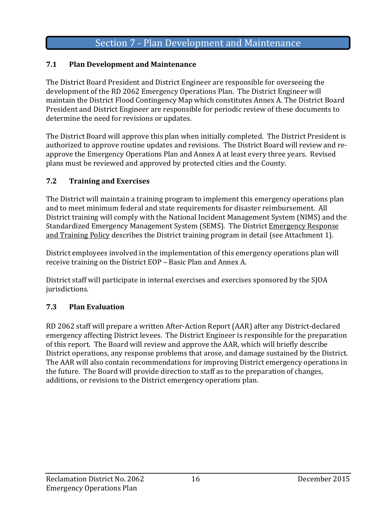# Section 7 - Plan Development and Maintenance

#### **7.1 Plan Development and Maintenance**

The District Board President and District Engineer are responsible for overseeing the development of the RD 2062 Emergency Operations Plan. The District Engineer will maintain the District Flood Contingency Map which constitutes Annex A. The District Board President and District Engineer are responsible for periodic review of these documents to determine the need for revisions or updates.

The District Board will approve this plan when initially completed. The District President is authorized to approve routine updates and revisions. The District Board will review and reapprove the Emergency Operations Plan and Annex A at least every three years. Revised plans must be reviewed and approved by protected cities and the County.

#### **7.2 Training and Exercises**

The District will maintain a training program to implement this emergency operations plan and to meet minimum federal and state requirements for disaster reimbursement. All District training will comply with the National Incident Management System (NIMS) and the Standardized Emergency Management System (SEMS). The District Emergency Response and Training Policy describes the District training program in detail (see Attachment 1).

District employees involved in the implementation of this emergency operations plan will receive training on the District EOP – Basic Plan and Annex A.

District staff will participate in internal exercises and exercises sponsored by the SJOA jurisdictions.

#### **7.3 Plan Evaluation**

RD 2062 staff will prepare a written After-Action Report (AAR) after any District-declared emergency affecting District levees. The District Engineer is responsible for the preparation of this report. The Board will review and approve the AAR, which will briefly describe District operations, any response problems that arose, and damage sustained by the District. The AAR will also contain recommendations for improving District emergency operations in the future. The Board will provide direction to staff as to the preparation of changes, additions, or revisions to the District emergency operations plan.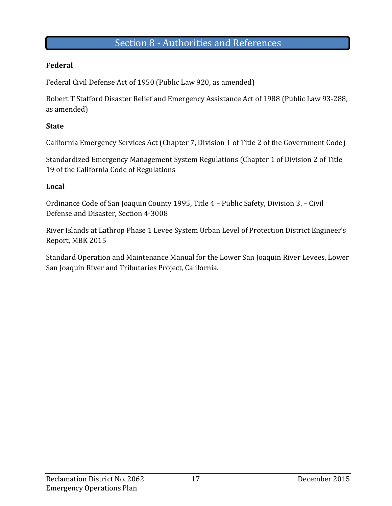### Section 8 - Authorities and References

#### **Federal**

Federal Civil Defense Act of 1950 (Public Law 920, as amended)

Robert T Stafford Disaster Relief and Emergency Assistance Act of 1988 (Public Law 93-288, as amended)

#### **State**

California Emergency Services Act (Chapter 7, Division 1 of Title 2 of the Government Code)

Standardized Emergency Management System Regulations (Chapter 1 of Division 2 of Title 19 of the California Code of Regulations

#### **Local**

Ordinance Code of San Joaquin County 1995, Title 4 - Public Safety, Division 3. - Civil Defense and Disaster, Section 4-3008

River Islands at Lathrop Phase 1 Levee System Urban Level of Protection District Engineer's Report, MBK 2015

Standard Operation and Maintenance Manual for the Lower San Joaquin River Levees, Lower San Joaquin River and Tributaries Project, California.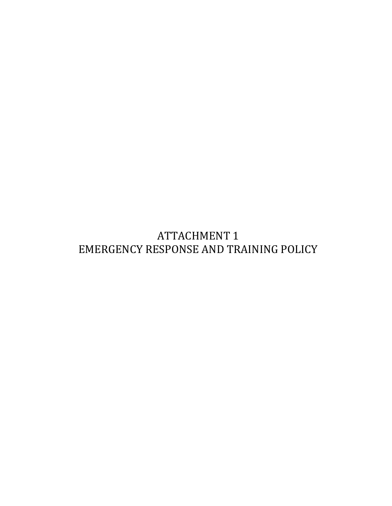**ATTACHMENT 1** EMERGENCY RESPONSE AND TRAINING POLICY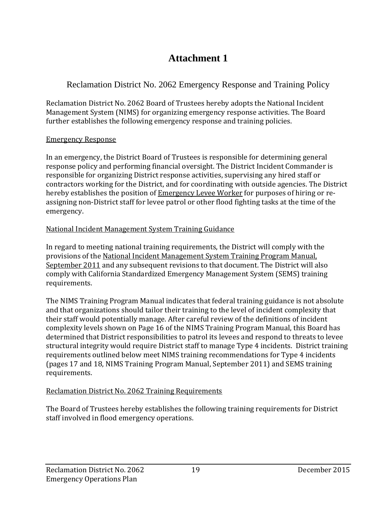# **Attachment 1**

### Reclamation District No. 2062 Emergency Response and Training Policy

Reclamation District No. 2062 Board of Trustees hereby adopts the National Incident Management System (NIMS) for organizing emergency response activities. The Board further establishes the following emergency response and training policies.

#### Emergency Response

In an emergency, the District Board of Trustees is responsible for determining general response policy and performing financial oversight. The District Incident Commander is responsible for organizing District response activities, supervising any hired staff or contractors working for the District, and for coordinating with outside agencies. The District hereby establishes the position of **Emergency Levee Worker** for purposes of hiring or reassigning non-District staff for levee patrol or other flood fighting tasks at the time of the emergency. 

#### National Incident Management System Training Guidance

In regard to meeting national training requirements, the District will comply with the provisions of the National Incident Management System Training Program Manual, September 2011 and any subsequent revisions to that document. The District will also comply with California Standardized Emergency Management System (SEMS) training requirements. 

The NIMS Training Program Manual indicates that federal training guidance is not absolute and that organizations should tailor their training to the level of incident complexity that their staff would potentially manage. After careful review of the definitions of incident complexity levels shown on Page 16 of the NIMS Training Program Manual, this Board has determined that District responsibilities to patrol its levees and respond to threats to levee structural integrity would require District staff to manage Type 4 incidents. District training requirements outlined below meet NIMS training recommendations for Type 4 incidents (pages 17 and 18, NIMS Training Program Manual, September 2011) and SEMS training requirements. 

#### Reclamation District No. 2062 Training Requirements

The Board of Trustees hereby establishes the following training requirements for District staff involved in flood emergency operations.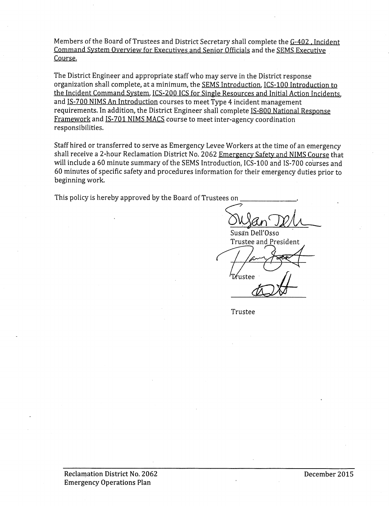Members of the Board of Trustees and District Secretary shall complete the G-402, Incident Command System Overview for Executives and Senior Officials and the SEMS Executive Course.

The District Engineer and appropriate staff who may serve in the District response organization shall complete, at a minimum, the SEMS Introduction, ICS-100 Introduction to the Incident Command System, ICS-200 ICS for Single Resources and Initial Action Incidents, and IS-700 NIMS An Introduction courses to meet Type 4 incident management requirements. In addition, the District Engineer shall complete IS-800 National Response Framework and IS-701 NIMS MACS course to meet inter-agency coordination responsibilities.

Staff hired or transferred to serve as Emergency Levee Workers at the time of an emergency shall receive a 2-hour Reclamation District No. 2062 Emergency Safety and NIMS Course that will include a 60 minute summary of the SEMS Introduction, ICS-100 and IS-700 courses and 60 minutes of specific safety and procedures information for their emergency duties prior to beginning work.

This policy is hereby approved by the Board of Trustees on

Susan Dell'Osso Trustee and President

fustee

Trustee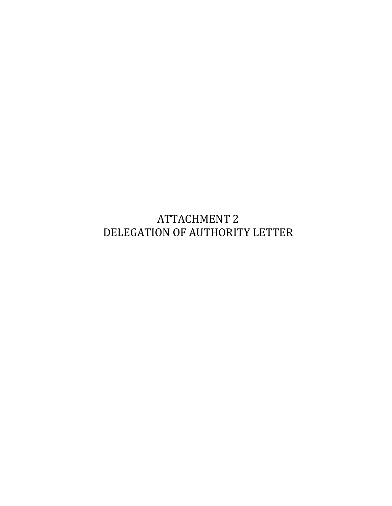**ATTACHMENT 2** DELEGATION OF AUTHORITY LETTER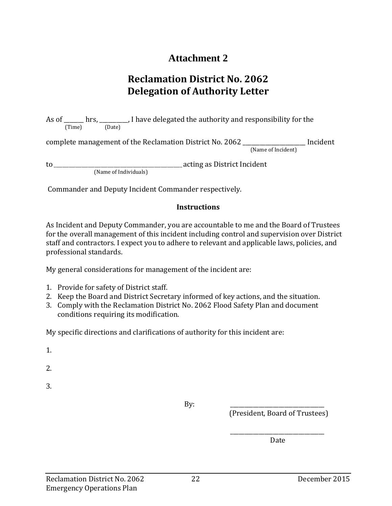# **Attachment 2**

# **Reclamation District No. 2062 Delegation of Authority Letter**

As of \_\_\_\_\_\_ hrs, \_\_\_\_\_\_\_\_, I have delegated the authority and responsibility for the (Time) (Date) complete management of the Reclamation District No. 2062 \_\_\_\_\_\_\_\_\_\_\_\_\_\_\_\_\_\_\_\_\_\_ Incident (Name of Incident) to \_\_\_\_\_\_\_\_\_\_\_\_\_\_\_\_\_\_\_\_\_\_\_\_\_\_\_\_\_\_\_\_\_\_\_\_\_\_\_\_\_\_\_\_\_\_\_\_\_\_\_\_\_\_\_\_\_\_\_\_ acting as District Incident (Name of Individuals)

Commander and Deputy Incident Commander respectively.

#### **Instructions**

As Incident and Deputy Commander, you are accountable to me and the Board of Trustees for the overall management of this incident including control and supervision over District staff and contractors. I expect you to adhere to relevant and applicable laws, policies, and professional standards.

My general considerations for management of the incident are:

- 1. Provide for safety of District staff.
- 2. Keep the Board and District Secretary informed of key actions, and the situation.
- 3. Comply with the Reclamation District No. 2062 Flood Safety Plan and document conditions requiring its modification.

My specific directions and clarifications of authority for this incident are:

1. 

2. 

3. 

 $\mathbf{B} \mathbf{y}$ :

 $\overline{\phantom{a}}$  , and the contract of the contract of the contract of the contract of the contract of the contract of the contract of the contract of the contract of the contract of the contract of the contract of the contrac

(President, Board of Trustees)

**Date Date**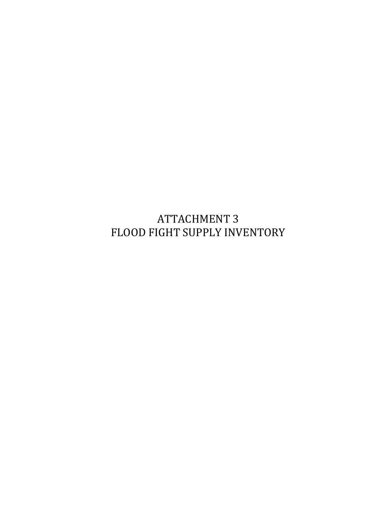**ATTACHMENT 3** FLOOD FIGHT SUPPLY INVENTORY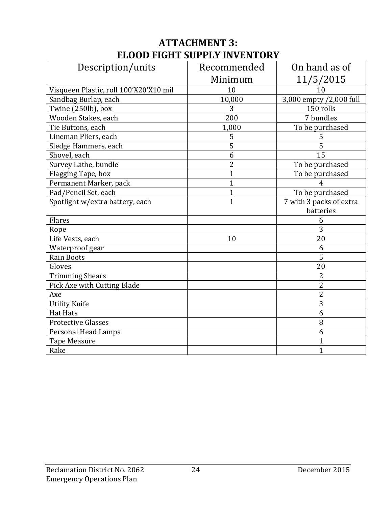# **ATTACHMENT 3: FLOOD FIGHT SUPPLY INVENTORY**

| Description/units                      | Recommended    | On hand as of           |
|----------------------------------------|----------------|-------------------------|
|                                        | Minimum        | 11/5/2015               |
| Visqueen Plastic, roll 100'X20'X10 mil | 10             | 10                      |
| Sandbag Burlap, each                   | 10,000         | 3,000 empty /2,000 full |
| Twine (250lb), box                     | 3              | 150 rolls               |
| Wooden Stakes, each                    | 200            | 7 bundles               |
| Tie Buttons, each                      | 1,000          | To be purchased         |
| Lineman Pliers, each                   | 5              | 5                       |
| Sledge Hammers, each                   | 5              | 5                       |
| Shovel, each                           | 6              | 15                      |
| Survey Lathe, bundle                   | $\overline{2}$ | To be purchased         |
| Flagging Tape, box                     | $\overline{1}$ | To be purchased         |
| Permanent Marker, pack                 | $\overline{1}$ | 4                       |
| Pad/Pencil Set, each                   | $\overline{1}$ | To be purchased         |
| Spotlight w/extra battery, each        | $\overline{1}$ | 7 with 3 packs of extra |
|                                        |                | batteries               |
| Flares                                 |                | 6                       |
| Rope                                   |                | 3                       |
| Life Vests, each                       | 10             | 20                      |
| Waterproof gear                        |                | 6                       |
| <b>Rain Boots</b>                      |                | 5                       |
| Gloves                                 |                | 20                      |
| <b>Trimming Shears</b>                 |                | $\overline{2}$          |
| Pick Axe with Cutting Blade            |                | $\overline{2}$          |
| Axe                                    |                | $\overline{2}$          |
| <b>Utility Knife</b>                   |                | 3                       |
| <b>Hat Hats</b>                        |                | 6                       |
| <b>Protective Glasses</b>              |                | 8                       |
| <b>Personal Head Lamps</b>             |                | 6                       |
| <b>Tape Measure</b>                    |                | $\overline{1}$          |
| Rake                                   |                | $\overline{1}$          |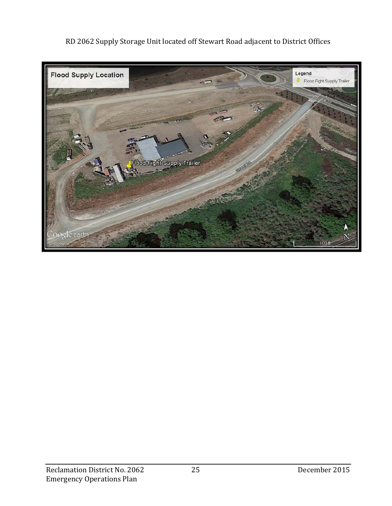

RD 2062 Supply Storage Unit located off Stewart Road adjacent to District Offices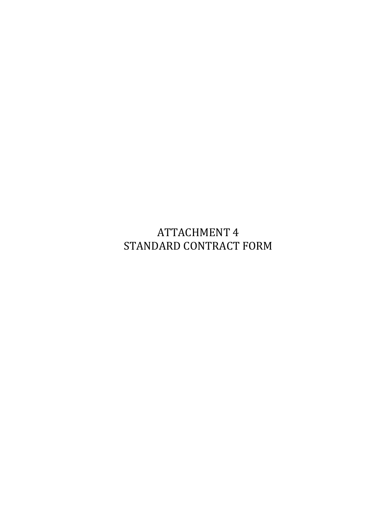**ATTACHMENT 4** STANDARD CONTRACT FORM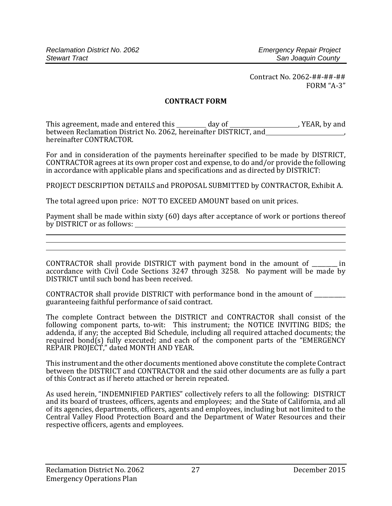#### **CONTRACT FORM**

This agreement, made and entered this \_\_\_\_\_\_\_\_ day of \_\_\_\_\_\_\_\_\_\_\_\_\_\_\_\_\_\_\_\_, YEAR, by and between Reclamation District No. 2062, hereinafter DISTRICT, and\_\_\_\_\_\_\_\_\_\_\_\_\_\_\_\_\_<br>hereinafter CONTRACTOR.

For and in consideration of the payments hereinafter specified to be made by DISTRICT, CONTRACTOR agrees at its own proper cost and expense, to do and/or provide the following in accordance with applicable plans and specifications and as directed by DISTRICT:

PROJECT DESCRIPTION DETAILS and PROPOSAL SUBMITTED by CONTRACTOR, Exhibit A.

The total agreed upon price: NOT TO EXCEED AMOUNT based on unit prices.

Payment shall be made within sixty (60) days after acceptance of work or portions thereof by DISTRICT or as follows: 

CONTRACTOR shall provide DISTRICT with payment bond in the amount of \_\_\_\_\_\_\_\_ in accordance with Civil Code Sections 3247 through 3258. No payment will be made by DISTRICT until such bond has been received.

CONTRACTOR shall provide DISTRICT with performance bond in the amount of guaranteeing faithful performance of said contract.

The complete Contract between the DISTRICT and CONTRACTOR shall consist of the following component parts, to-wit: This instrument; the NOTICE INVITING BIDS; the addenda, if any; the accepted Bid Schedule, including all required attached documents; the required bond(s) fully executed; and each of the component parts of the "EMERGENCY REPAIR PROJECT," dated MONTH AND YEAR.

This instrument and the other documents mentioned above constitute the complete Contract between the DISTRICT and CONTRACTOR and the said other documents are as fully a part of this Contract as if hereto attached or herein repeated.

As used herein, "INDEMNIFIED PARTIES" collectively refers to all the following: DISTRICT and its board of trustees, officers, agents and employees; and the State of California, and all of its agencies, departments, officers, agents and employees, including but not limited to the Central Valley Flood Protection Board and the Department of Water Resources and their respective officers, agents and employees.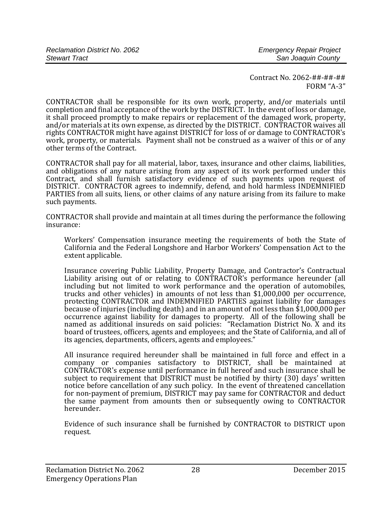CONTRACTOR shall be responsible for its own work, property, and/or materials until completion and final acceptance of the work by the DISTRICT. In the event of loss or damage, it shall proceed promptly to make repairs or replacement of the damaged work, property, and/or materials at its own expense, as directed by the DISTRICT. CONTRACTOR waives all rights CONTRACTOR might have against DISTRICT for loss of or damage to CONTRACTOR's work, property, or materials. Payment shall not be construed as a waiver of this or of any other terms of the Contract.

CONTRACTOR shall pay for all material, labor, taxes, insurance and other claims, liabilities, and obligations of any nature arising from any aspect of its work performed under this Contract, and shall furnish satisfactory evidence of such payments upon request of DISTRICT. CONTRACTOR agrees to indemnify, defend, and hold harmless INDEMNIFIED PARTIES from all suits, liens, or other claims of any nature arising from its failure to make such payments.

CONTRACTOR shall provide and maintain at all times during the performance the following insurance: 

Workers' Compensation insurance meeting the requirements of both the State of California and the Federal Longshore and Harbor Workers' Compensation Act to the extent applicable.

Insurance covering Public Liability, Property Damage, and Contractor's Contractual Liability arising out of or relating to CONTRACTOR's performance hereunder (all including but not limited to work performance and the operation of automobiles, trucks and other vehicles) in amounts of not less than  $$1,000,000$  per occurrence, protecting CONTRACTOR and INDEMNIFIED PARTIES against liability for damages because of injuries (including death) and in an amount of not less than  $$1,000,000$  per occurrence against liability for damages to property. All of the following shall be named as additional insureds on said policies: "Reclamation District No. X and its board of trustees, officers, agents and employees; and the State of California, and all of its agencies, departments, officers, agents and employees."

All insurance required hereunder shall be maintained in full force and effect in a company or companies satisfactory to DISTRICT, shall be maintained at CONTRACTOR's expense until performance in full hereof and such insurance shall be subject to requirement that DISTRICT must be notified by thirty (30) days' written notice before cancellation of any such policy. In the event of threatened cancellation for non-payment of premium, DISTRICT may pay same for CONTRACTOR and deduct the same payment from amounts then or subsequently owing to CONTRACTOR hereunder. 

Evidence of such insurance shall be furnished by CONTRACTOR to DISTRICT upon request.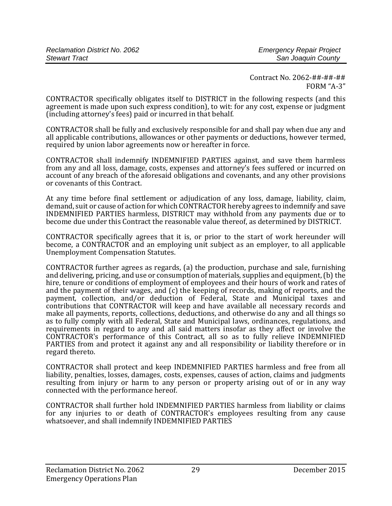CONTRACTOR specifically obligates itself to DISTRICT in the following respects (and this agreement is made upon such express condition), to wit: for any cost, expense or judgment (including attorney's fees) paid or incurred in that behalf.

CONTRACTOR shall be fully and exclusively responsible for and shall pay when due any and all applicable contributions, allowances or other payments or deductions, however termed, required by union labor agreements now or hereafter in force.

CONTRACTOR shall indemnify INDEMNIFIED PARTIES against, and save them harmless from any and all loss, damage, costs, expenses and attorney's fees suffered or incurred on account of any breach of the aforesaid obligations and covenants, and any other provisions or covenants of this Contract.

At any time before final settlement or adjudication of any loss, damage, liability, claim, demand, suit or cause of action for which CONTRACTOR hereby agrees to indemnify and save INDEMNIFIED PARTIES harmless, DISTRICT may withhold from any payments due or to become due under this Contract the reasonable value thereof, as determined by DISTRICT.

CONTRACTOR specifically agrees that it is, or prior to the start of work hereunder will become, a CONTRACTOR and an employing unit subject as an employer, to all applicable Unemployment Compensation Statutes.

CONTRACTOR further agrees as regards, (a) the production, purchase and sale, furnishing and delivering, pricing, and use or consumption of materials, supplies and equipment, (b) the hire, tenure or conditions of employment of employees and their hours of work and rates of and the payment of their wages, and  $(c)$  the keeping of records, making of reports, and the payment, collection, and/or deduction of Federal, State and Municipal taxes and contributions that CONTRACTOR will keep and have available all necessary records and make all payments, reports, collections, deductions, and otherwise do any and all things so as to fully comply with all Federal, State and Municipal laws, ordinances, regulations, and requirements in regard to any and all said matters insofar as they affect or involve the CONTRACTOR's performance of this Contract, all so as to fully relieve INDEMNIFIED PARTIES from and protect it against any and all responsibility or liability therefore or in regard thereto.

CONTRACTOR shall protect and keep INDEMNIFIED PARTIES harmless and free from all liability, penalties, losses, damages, costs, expenses, causes of action, claims and judgments resulting from injury or harm to any person or property arising out of or in any way connected with the performance hereof.

CONTRACTOR shall further hold INDEMNIFIED PARTIES harmless from liability or claims for any injuries to or death of CONTRACTOR's employees resulting from any cause whatsoever, and shall indemnify INDEMNIFIED PARTIES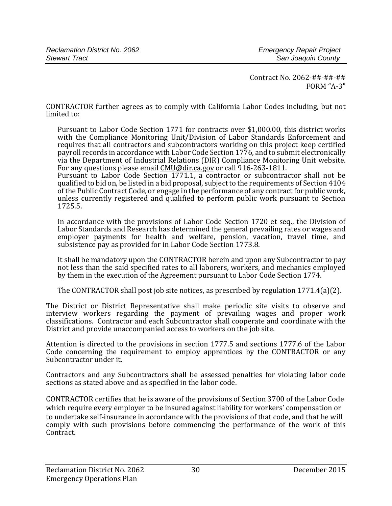CONTRACTOR further agrees as to comply with California Labor Codes including, but not limited to:

Pursuant to Labor Code Section 1771 for contracts over \$1,000.00, this district works with the Compliance Monitoring Unit/Division of Labor Standards Enforcement and requires that all contractors and subcontractors working on this project keep certified payroll records in accordance with Labor Code Section 1776, and to submit electronically via the Department of Industrial Relations (DIR) Compliance Monitoring Unit website. For any questions please email CMU@dir.ca.gov or call 916-263-1811.

Pursuant to Labor Code Section 1771.1, a contractor or subcontractor shall not be qualified to bid on, be listed in a bid proposal, subject to the requirements of Section 4104 of the Public Contract Code, or engage in the performance of any contract for public work, unless currently registered and qualified to perform public work pursuant to Section 1725.5. 

In accordance with the provisions of Labor Code Section 1720 et seq., the Division of Labor Standards and Research has determined the general prevailing rates or wages and employer payments for health and welfare, pension, vacation, travel time, and subsistence pay as provided for in Labor Code Section 1773.8.

It shall be mandatory upon the CONTRACTOR herein and upon any Subcontractor to pay not less than the said specified rates to all laborers, workers, and mechanics employed by them in the execution of the Agreement pursuant to Labor Code Section 1774.

The CONTRACTOR shall post job site notices, as prescribed by regulation  $1771.4(a)(2)$ .

The District or District Representative shall make periodic site visits to observe and interview workers regarding the payment of prevailing wages and proper work classifications. Contractor and each Subcontractor shall cooperate and coordinate with the District and provide unaccompanied access to workers on the job site.

Attention is directed to the provisions in section 1777.5 and sections 1777.6 of the Labor Code concerning the requirement to employ apprentices by the CONTRACTOR or any Subcontractor under it.

Contractors and any Subcontractors shall be assessed penalties for violating labor code sections as stated above and as specified in the labor code.

CONTRACTOR certifies that he is aware of the provisions of Section 3700 of the Labor Code which require every employer to be insured against liability for workers' compensation or to undertake self-insurance in accordance with the provisions of that code, and that he will comply with such provisions before commencing the performance of the work of this Contract.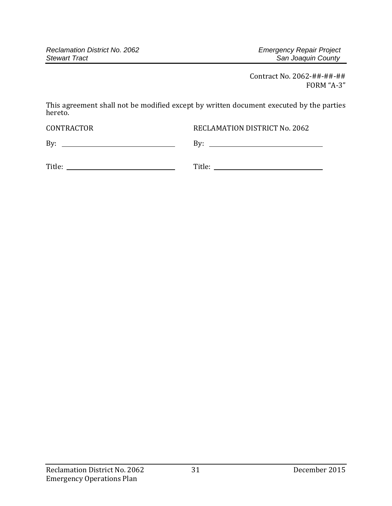This agreement shall not be modified except by written document executed by the parties hereto. 

CONTRACTOR RECLAMATION DISTRICT No. 2062

By: By: 

| Title: |  |
|--------|--|
|        |  |

Title: Title: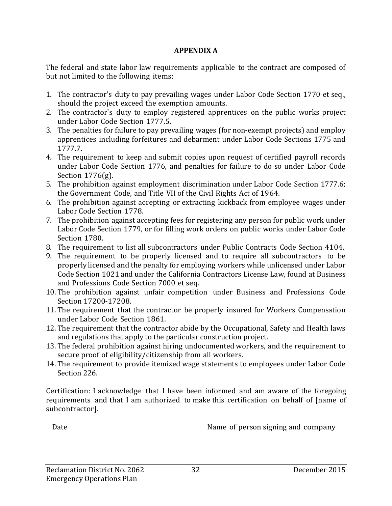#### **APPENDIX A**

The federal and state labor law requirements applicable to the contract are composed of but not limited to the following items:

- 1. The contractor's duty to pay prevailing wages under Labor Code Section 1770 et seq., should the project exceed the exemption amounts.
- 2. The contractor's duty to employ registered apprentices on the public works project under Labor Code Section 1777.5.
- 3. The penalties for failure to pay prevailing wages (for non-exempt projects) and employ apprentices including forfeitures and debarment under Labor Code Sections 1775 and 1777.7.
- 4. The requirement to keep and submit copies upon request of certified payroll records under Labor Code Section 1776, and penalties for failure to do so under Labor Code Section  $1776(g)$ .
- 5. The prohibition against employment discrimination under Labor Code Section 1777.6; the Government Code, and Title VII of the Civil Rights Act of 1964.
- 6. The prohibition against accepting or extracting kickback from employee wages under Labor Code Section 1778.
- 7. The prohibition against accepting fees for registering any person for public work under Labor Code Section 1779, or for filling work orders on public works under Labor Code Section 1780.
- 8. The requirement to list all subcontractors under Public Contracts Code Section 4104.
- 9. The requirement to be properly licensed and to require all subcontractors to be properly licensed and the penalty for employing workers while unlicensed under Labor Code Section 1021 and under the California Contractors License Law, found at Business and Professions Code Section 7000 et seq.
- 10. The prohibition against unfair competition under Business and Professions Code Section 17200‐17208.
- 11. The requirement that the contractor be properly insured for Workers Compensation under Labor Code Section 1861.
- 12. The requirement that the contractor abide by the Occupational, Safety and Health laws and regulations that apply to the particular construction project.
- 13. The federal prohibition against hiring undocumented workers, and the requirement to secure proof of eligibility/citizenship from all workers.
- 14. The requirement to provide itemized wage statements to employees under Labor Code Section 226.

Certification: I acknowledge that I have been informed and am aware of the foregoing requirements and that I am authorized to make this certification on behalf of [name of subcontractor]. 

 

Date **Date I I Name of person signing and company**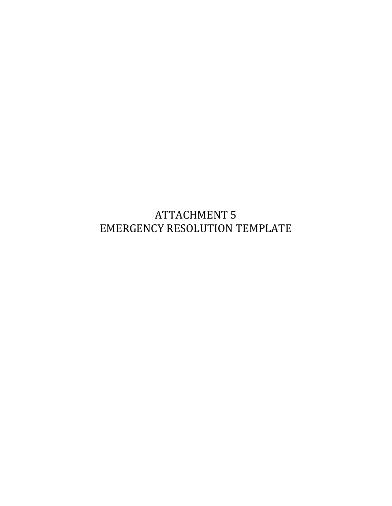**ATTACHMENT 5** EMERGENCY RESOLUTION TEMPLATE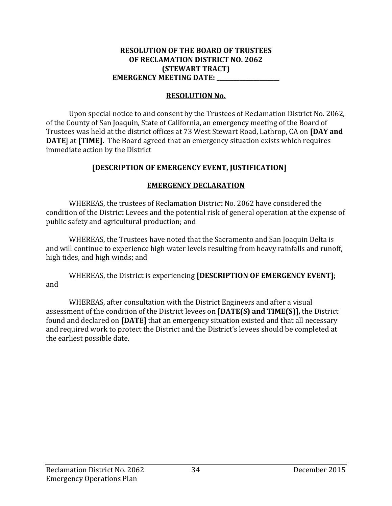#### **RESOLUTION OF THE BOARD OF TRUSTEES OF RECLAMATION DISTRICT NO. 2062 (STEWART TRACT) EMERGENCY MEETING DATE: \_\_\_\_\_\_\_\_\_\_\_\_\_\_\_\_\_\_\_\_\_\_**

#### **RESOLUTION No.**

Upon special notice to and consent by the Trustees of Reclamation District No. 2062. of the County of San Joaquin, State of California, an emergency meeting of the Board of Trustees was held at the district offices at 73 West Stewart Road, Lathrop, CA on **[DAY and DATE**] at [TIME]. The Board agreed that an emergency situation exists which requires immediate action by the District

#### **[DESCRIPTION OF EMERGENCY EVENT, JUSTIFICATION]**

#### **EMERGENCY DECLARATION**

WHEREAS, the trustees of Reclamation District No. 2062 have considered the condition of the District Levees and the potential risk of general operation at the expense of public safety and agricultural production; and

WHEREAS, the Trustees have noted that the Sacramento and San Joaquin Delta is and will continue to experience high water levels resulting from heavy rainfalls and runoff, high tides, and high winds; and

WHEREAS, the District is experiencing **[DESCRIPTION OF EMERGENCY EVENT]**; and 

WHEREAS, after consultation with the District Engineers and after a visual assessment of the condition of the District levees on [DATE(S) and TIME(S)], the District found and declared on [DATE] that an emergency situation existed and that all necessary and required work to protect the District and the District's levees should be completed at the earliest possible date.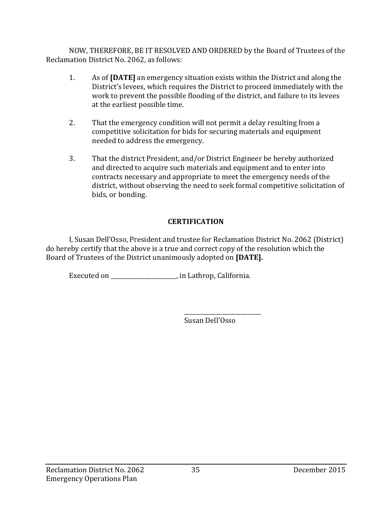NOW, THEREFORE, BE IT RESOLVED AND ORDERED by the Board of Trustees of the Reclamation District No. 2062, as follows:

- 1. As of **[DATE]** an emergency situation exists within the District and along the District's levees, which requires the District to proceed immediately with the work to prevent the possible flooding of the district, and failure to its levees at the earliest possible time.
- 2. That the emergency condition will not permit a delay resulting from a competitive solicitation for bids for securing materials and equipment needed to address the emergency.
- 3. That the district President, and/or District Engineer be hereby authorized and directed to acquire such materials and equipment and to enter into contracts necessary and appropriate to meet the emergency needs of the district, without observing the need to seek formal competitive solicitation of bids, or bonding.

#### **CERTIFICATION**

I, Susan Dell'Osso, President and trustee for Reclamation District No. 2062 (District) do hereby certify that the above is a true and correct copy of the resolution which the Board of Trustees of the District unanimously adopted on [DATE].

Executed on \_\_\_\_\_\_\_\_\_\_\_\_\_\_\_\_\_\_, in Lathrop, California.

Susan Dell'Osso 

\_\_\_\_\_\_\_\_\_\_\_\_\_\_\_\_\_\_\_\_\_\_\_\_\_\_\_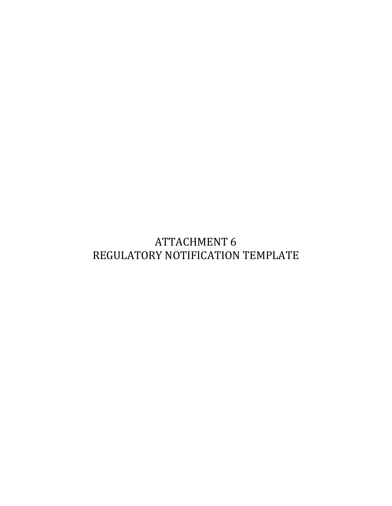# **ATTACHMENT 6** REGULATORY NOTIFICATION TEMPLATE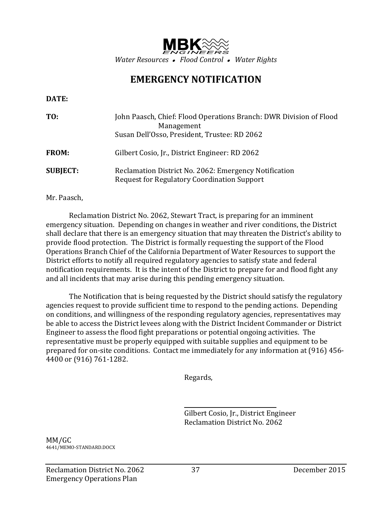

# **EMERGENCY NOTIFICATION**

#### **DATE:**

| TO:             | John Paasch, Chief: Flood Operations Branch: DWR Division of Flood<br>Management                            |
|-----------------|-------------------------------------------------------------------------------------------------------------|
|                 | Susan Dell'Osso, President, Trustee: RD 2062                                                                |
| <b>FROM:</b>    | Gilbert Cosio, Jr., District Engineer: RD 2062                                                              |
| <b>SUBJECT:</b> | Reclamation District No. 2062: Emergency Notification<br><b>Request for Regulatory Coordination Support</b> |

#### Mr. Paasch,

Reclamation District No. 2062, Stewart Tract, is preparing for an imminent emergency situation. Depending on changes in weather and river conditions, the District shall declare that there is an emergency situation that may threaten the District's ability to provide flood protection. The District is formally requesting the support of the Flood Operations Branch Chief of the California Department of Water Resources to support the District efforts to notify all required regulatory agencies to satisfy state and federal notification requirements. It is the intent of the District to prepare for and flood fight any and all incidents that may arise during this pending emergency situation.

The Notification that is being requested by the District should satisfy the regulatory agencies request to provide sufficient time to respond to the pending actions. Depending on conditions, and willingness of the responding regulatory agencies, representatives may be able to access the District levees along with the District Incident Commander or District Engineer to assess the flood fight preparations or potential ongoing activities. The representative must be properly equipped with suitable supplies and equipment to be prepared for on-site conditions. Contact me immediately for any information at (916) 456-4400 or (916) 761-1282.

 Regards, 

<u> 1989 - John Stein, Amerikaansk politiker († 1908)</u>

Gilbert Cosio, Jr., District Engineer Reclamation District No. 2062 

MM/GC 4641/MEMO‐STANDARD.DOCX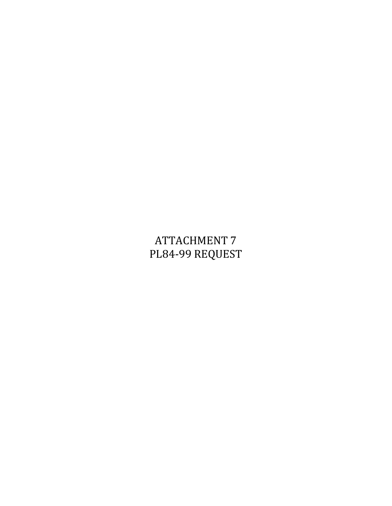# **ATTACHMENT 7** PL84-99 REQUEST